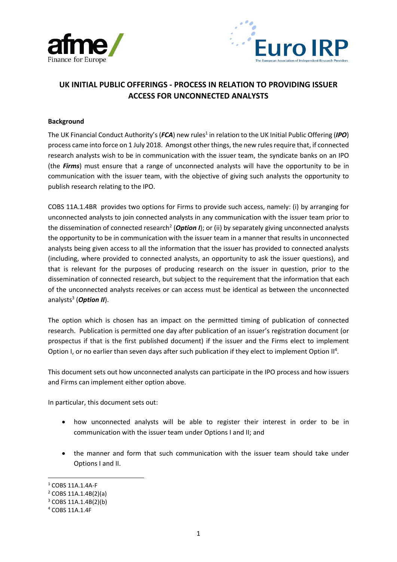



## **UK INITIAL PUBLIC OFFERINGS - PROCESS IN RELATION TO PROVIDING ISSUER ACCESS FOR UNCONNECTED ANALYSTS**

#### **Background**

The UK Financial Conduct Authority's (FCA) new rules<sup>1</sup> in relation to the UK Initial Public Offering (IPO) process came into force on 1 July 2018. Amongst other things, the new rules require that, if connected research analysts wish to be in communication with the issuer team, the syndicate banks on an IPO (the *Firms*) must ensure that a range of unconnected analysts will have the opportunity to be in communication with the issuer team, with the objective of giving such analysts the opportunity to publish research relating to the IPO.

COBS 11A.1.4BR provides two options for Firms to provide such access, namely: (i) by arranging for unconnected analysts to join connected analysts in any communication with the issuer team prior to the dissemination of connected research<sup>2</sup> (*Option I*); or (ii) by separately giving unconnected analysts the opportunity to be in communication with the issuer team in a manner that results in unconnected analysts being given access to all the information that the issuer has provided to connected analysts (including, where provided to connected analysts, an opportunity to ask the issuer questions), and that is relevant for the purposes of producing research on the issuer in question, prior to the dissemination of connected research, but subject to the requirement that the information that each of the unconnected analysts receives or can access must be identical as between the unconnected analysts<sup>3</sup> (*Option II*).

The option which is chosen has an impact on the permitted timing of publication of connected research. Publication is permitted one day after publication of an issuer's registration document (or prospectus if that is the first published document) if the issuer and the Firms elect to implement Option I, or no earlier than seven days after such publication if they elect to implement Option  $II<sup>4</sup>$ .

This document sets out how unconnected analysts can participate in the IPO process and how issuers and Firms can implement either option above.

In particular, this document sets out:

- how unconnected analysts will be able to register their interest in order to be in communication with the issuer team under Options I and II; and
- the manner and form that such communication with the issuer team should take under Options I and II.

<sup>1</sup> COBS 11A.1.4A-F

<sup>2</sup> COBS 11A.1.4B(2)(a)

<sup>3</sup> COBS 11A.1.4B(2)(b)

<sup>4</sup> COBS 11A.1.4F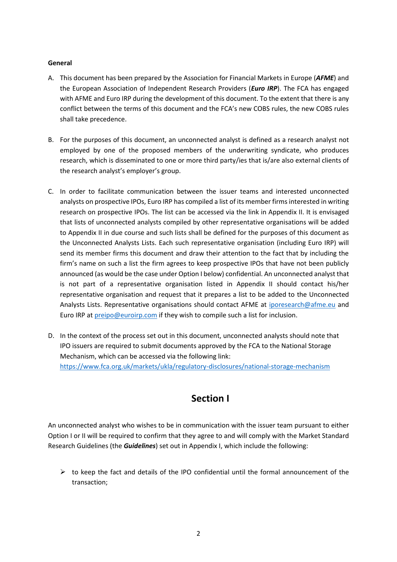#### **General**

- A. This document has been prepared by the Association for Financial Markets in Europe (*AFME*) and the European Association of Independent Research Providers (*Euro IRP*). The FCA has engaged with AFME and Euro IRP during the development of this document. To the extent that there is any conflict between the terms of this document and the FCA's new COBS rules, the new COBS rules shall take precedence.
- B. For the purposes of this document, an unconnected analyst is defined as a research analyst not employed by one of the proposed members of the underwriting syndicate, who produces research, which is disseminated to one or more third party/ies that is/are also external clients of the research analyst's employer's group.
- C. In order to facilitate communication between the issuer teams and interested unconnected analysts on prospective IPOs, Euro IRP has compiled a list of its member firms interested in writing research on prospective IPOs. The list can be accessed via the link in Appendix II. It is envisaged that lists of unconnected analysts compiled by other representative organisations will be added to Appendix II in due course and such lists shall be defined for the purposes of this document as the Unconnected Analysts Lists. Each such representative organisation (including Euro IRP) will send its member firms this document and draw their attention to the fact that by including the firm's name on such a list the firm agrees to keep prospective IPOs that have not been publicly announced (as would be the case under Option I below) confidential. An unconnected analyst that is not part of a representative organisation listed in Appendix II should contact his/her representative organisation and request that it prepares a list to be added to the Unconnected Analysts Lists. Representative organisations should contact AFME at [iporesearch@afme.eu](mailto:iporesearch@afme.eu) and Euro IRP a[t preipo@euroirp.com](mailto:preipo@euroirp.com) if they wish to compile such a list for inclusion.
- D. In the context of the process set out in this document, unconnected analysts should note that IPO issuers are required to submit documents approved by the FCA to the National Storage Mechanism, which can be accessed via the following link: <https://www.fca.org.uk/markets/ukla/regulatory-disclosures/national-storage-mechanism>

# **Section I**

An unconnected analyst who wishes to be in communication with the issuer team pursuant to either Option I or II will be required to confirm that they agree to and will comply with the Market Standard Research Guidelines (the *Guidelines*) set out in Appendix I, which include the following:

 $\triangleright$  to keep the fact and details of the IPO confidential until the formal announcement of the transaction;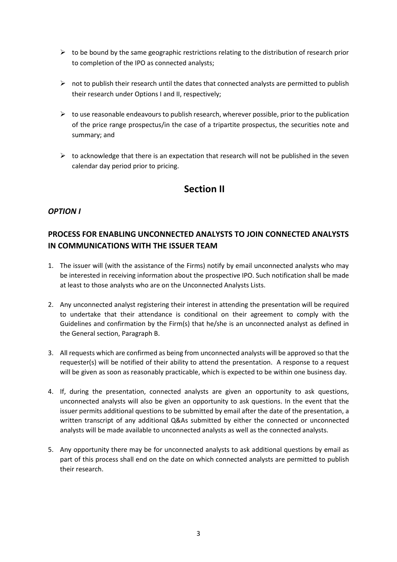- $\triangleright$  to be bound by the same geographic restrictions relating to the distribution of research prior to completion of the IPO as connected analysts;
- $\triangleright$  not to publish their research until the dates that connected analysts are permitted to publish their research under Options I and II, respectively;
- $\triangleright$  to use reasonable endeavours to publish research, wherever possible, prior to the publication of the price range prospectus/in the case of a tripartite prospectus, the securities note and summary; and
- $\triangleright$  to acknowledge that there is an expectation that research will not be published in the seven calendar day period prior to pricing.

## **Section II**

#### *OPTION I*

### **PROCESS FOR ENABLING UNCONNECTED ANALYSTS TO JOIN CONNECTED ANALYSTS IN COMMUNICATIONS WITH THE ISSUER TEAM**

- 1. The issuer will (with the assistance of the Firms) notify by email unconnected analysts who may be interested in receiving information about the prospective IPO. Such notification shall be made at least to those analysts who are on the Unconnected Analysts Lists.
- 2. Any unconnected analyst registering their interest in attending the presentation will be required to undertake that their attendance is conditional on their agreement to comply with the Guidelines and confirmation by the Firm(s) that he/she is an unconnected analyst as defined in the General section, Paragraph B.
- 3. All requests which are confirmed as being from unconnected analysts will be approved so that the requester(s) will be notified of their ability to attend the presentation. A response to a request will be given as soon as reasonably practicable, which is expected to be within one business day.
- 4. If, during the presentation, connected analysts are given an opportunity to ask questions, unconnected analysts will also be given an opportunity to ask questions. In the event that the issuer permits additional questions to be submitted by email after the date of the presentation, a written transcript of any additional Q&As submitted by either the connected or unconnected analysts will be made available to unconnected analysts as well as the connected analysts.
- 5. Any opportunity there may be for unconnected analysts to ask additional questions by email as part of this process shall end on the date on which connected analysts are permitted to publish their research.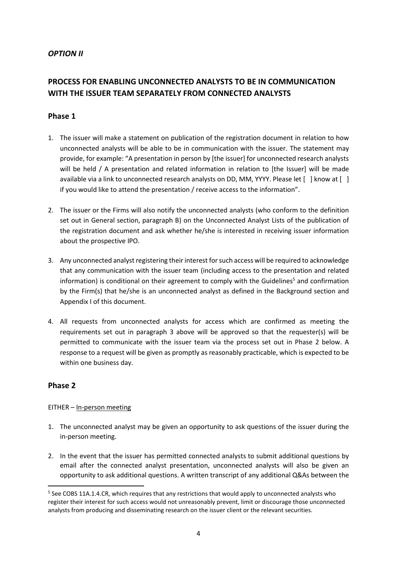#### *OPTION II*

## **PROCESS FOR ENABLING UNCONNECTED ANALYSTS TO BE IN COMMUNICATION WITH THE ISSUER TEAM SEPARATELY FROM CONNECTED ANALYSTS**

#### **Phase 1**

- 1. The issuer will make a statement on publication of the registration document in relation to how unconnected analysts will be able to be in communication with the issuer. The statement may provide, for example: "A presentation in person by [the issuer] for unconnected research analysts will be held / A presentation and related information in relation to [the Issuer] will be made available via a link to unconnected research analysts on DD, MM, YYYY. Please let [ ] know at [ ] if you would like to attend the presentation / receive access to the information".
- 2. The issuer or the Firms will also notify the unconnected analysts (who conform to the definition set out in General section, paragraph B) on the Unconnected Analyst Lists of the publication of the registration document and ask whether he/she is interested in receiving issuer information about the prospective IPO.
- 3. Any unconnected analyst registering their interest for such access will be required to acknowledge that any communication with the issuer team (including access to the presentation and related information) is conditional on their agreement to comply with the Guidelines <sup>5</sup> and confirmation by the Firm(s) that he/she is an unconnected analyst as defined in the Background section and Appendix I of this document.
- 4. All requests from unconnected analysts for access which are confirmed as meeting the requirements set out in paragraph 3 above will be approved so that the requester(s) will be permitted to communicate with the issuer team via the process set out in Phase 2 below. A response to a request will be given as promptly as reasonably practicable, which is expected to be within one business day.

#### **Phase 2**

**.** 

#### EITHER – In-person meeting

- 1. The unconnected analyst may be given an opportunity to ask questions of the issuer during the in-person meeting.
- 2. In the event that the issuer has permitted connected analysts to submit additional questions by email after the connected analyst presentation, unconnected analysts will also be given an opportunity to ask additional questions. A written transcript of any additional Q&As between the

<sup>&</sup>lt;sup>5</sup> See COBS 11A.1.4.CR, which requires that any restrictions that would apply to unconnected analysts who register their interest for such access would not unreasonably prevent, limit or discourage those unconnected analysts from producing and disseminating research on the issuer client or the relevant securities.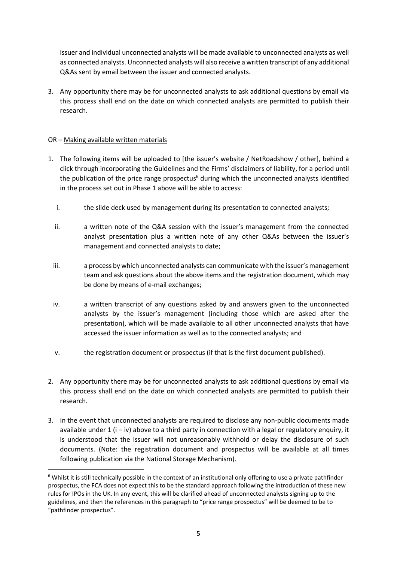issuer and individual unconnected analysts will be made available to unconnected analysts as well as connected analysts. Unconnected analysts will also receive a written transcript of any additional Q&As sent by email between the issuer and connected analysts.

3. Any opportunity there may be for unconnected analysts to ask additional questions by email via this process shall end on the date on which connected analysts are permitted to publish their research.

#### OR – Making available written materials

**.** 

- 1. The following items will be uploaded to [the issuer's website / NetRoadshow / other], behind a click through incorporating the Guidelines and the Firms' disclaimers of liability, for a period until the publication of the price range prospectus $<sup>6</sup>$  during which the unconnected analysts identified</sup> in the process set out in Phase 1 above will be able to access:
	- i. the slide deck used by management during its presentation to connected analysts;
	- ii. a written note of the Q&A session with the issuer's management from the connected analyst presentation plus a written note of any other Q&As between the issuer's management and connected analysts to date;
	- iii. a process by which unconnected analysts can communicate with the issuer's management team and ask questions about the above items and the registration document, which may be done by means of e-mail exchanges;
	- iv. a written transcript of any questions asked by and answers given to the unconnected analysts by the issuer's management (including those which are asked after the presentation), which will be made available to all other unconnected analysts that have accessed the issuer information as well as to the connected analysts; and
	- v. the registration document or prospectus (if that is the first document published).
- 2. Any opportunity there may be for unconnected analysts to ask additional questions by email via this process shall end on the date on which connected analysts are permitted to publish their research.
- 3. In the event that unconnected analysts are required to disclose any non-public documents made available under  $1$  (i – iv) above to a third party in connection with a legal or regulatory enquiry, it is understood that the issuer will not unreasonably withhold or delay the disclosure of such documents. (Note: the registration document and prospectus will be available at all times following publication via the National Storage Mechanism).

<sup>&</sup>lt;sup>6</sup> Whilst it is still technically possible in the context of an institutional only offering to use a private pathfinder prospectus, the FCA does not expect this to be the standard approach following the introduction of these new rules for IPOs in the UK. In any event, this will be clarified ahead of unconnected analysts signing up to the guidelines, and then the references in this paragraph to "price range prospectus" will be deemed to be to "pathfinder prospectus".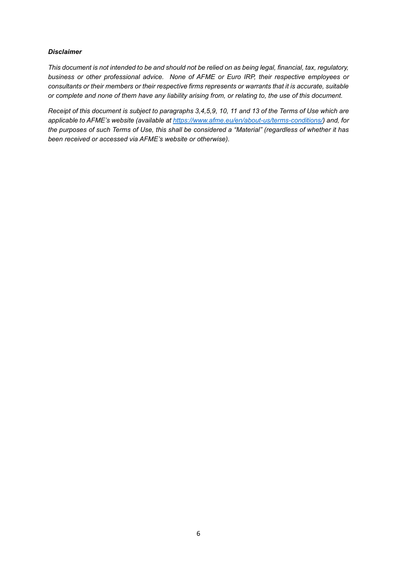#### *Disclaimer*

*This document is not intended to be and should not be relied on as being legal, financial, tax, regulatory, business or other professional advice. None of AFME or Euro IRP, their respective employees or consultants or their members or their respective firms represents or warrants that it is accurate, suitable or complete and none of them have any liability arising from, or relating to, the use of this document.* 

*Receipt of this document is subject to paragraphs 3,4,5,9, 10, 11 and 13 of the Terms of Use which are applicable to AFME's website (available at [https://www.afme.eu/en/about-us/terms-conditions/\)](https://www.afme.eu/en/about-us/terms-conditions/) and, for the purposes of such Terms of Use, this shall be considered a "Material" (regardless of whether it has been received or accessed via AFME's website or otherwise).*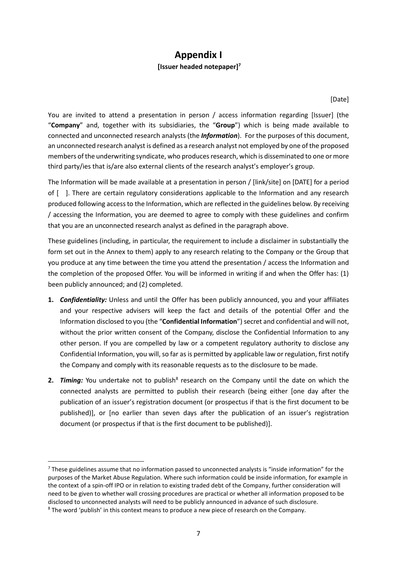## **Appendix I [Issuer headed notepaper]<sup>7</sup>**

[Date]

You are invited to attend a presentation in person / access information regarding [Issuer] (the "**Company**" and, together with its subsidiaries, the "**Group**") which is being made available to connected and unconnected research analysts (the *Information*). For the purposes of this document, an unconnected research analyst is defined as a research analyst not employed by one of the proposed members of the underwriting syndicate, who produces research, which is disseminated to one or more third party/ies that is/are also external clients of the research analyst's employer's group.

The Information will be made available at a presentation in person / [link/site] on [DATE] for a period of [ ]. There are certain regulatory considerations applicable to the Information and any research produced following access to the Information, which are reflected in the guidelines below. By receiving / accessing the Information, you are deemed to agree to comply with these guidelines and confirm that you are an unconnected research analyst as defined in the paragraph above.

These guidelines (including, in particular, the requirement to include a disclaimer in substantially the form set out in the Annex to them) apply to any research relating to the Company or the Group that you produce at any time between the time you attend the presentation / access the Information and the completion of the proposed Offer. You will be informed in writing if and when the Offer has: (1) been publicly announced; and (2) completed.

- **1.** *Confidentiality:* Unless and until the Offer has been publicly announced, you and your affiliates and your respective advisers will keep the fact and details of the potential Offer and the Information disclosed to you (the "**Confidential Information**") secret and confidential and will not, without the prior written consent of the Company, disclose the Confidential Information to any other person. If you are compelled by law or a competent regulatory authority to disclose any Confidential Information, you will, so far as is permitted by applicable law or regulation, first notify the Company and comply with its reasonable requests as to the disclosure to be made.
- 2. Timing: You undertake not to publish<sup>8</sup> research on the Company until the date on which the connected analysts are permitted to publish their research (being either [one day after the publication of an issuer's registration document (or prospectus if that is the first document to be published)], or [no earlier than seven days after the publication of an issuer's registration document (or prospectus if that is the first document to be published)].

**.** 

<sup>&</sup>lt;sup>7</sup> These guidelines assume that no information passed to unconnected analysts is "inside information" for the purposes of the Market Abuse Regulation. Where such information could be inside information, for example in the context of a spin-off IPO or in relation to existing traded debt of the Company, further consideration will need to be given to whether wall crossing procedures are practical or whether all information proposed to be disclosed to unconnected analysts will need to be publicly announced in advance of such disclosure.

<sup>&</sup>lt;sup>8</sup> The word 'publish' in this context means to produce a new piece of research on the Company.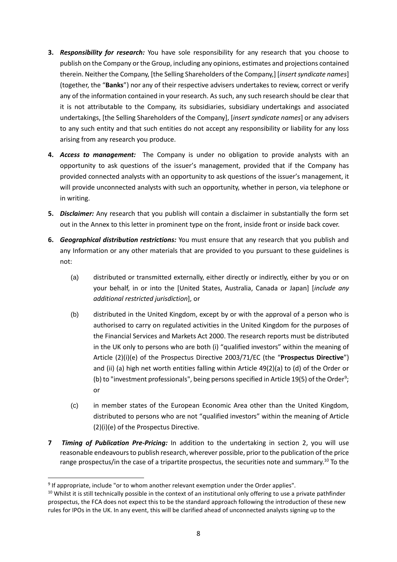- **3.** *Responsibility for research:* You have sole responsibility for any research that you choose to publish on the Company or the Group, including any opinions, estimates and projections contained therein. Neither the Company, [the Selling Shareholders of the Company,] [*insert syndicate names*] (together, the "**Banks**") nor any of their respective advisers undertakes to review, correct or verify any of the information contained in your research. As such, any such research should be clear that it is not attributable to the Company, its subsidiaries, subsidiary undertakings and associated undertakings, [the Selling Shareholders of the Company], [*insert syndicate names*] or any advisers to any such entity and that such entities do not accept any responsibility or liability for any loss arising from any research you produce.
- **4.** *Access to management:* The Company is under no obligation to provide analysts with an opportunity to ask questions of the issuer's management, provided that if the Company has provided connected analysts with an opportunity to ask questions of the issuer's management, it will provide unconnected analysts with such an opportunity, whether in person, via telephone or in writing.
- **5.** *Disclaimer:* Any research that you publish will contain a disclaimer in substantially the form set out in the Annex to this letter in prominent type on the front, inside front or inside back cover.
- **6.** *Geographical distribution restrictions:* You must ensure that any research that you publish and any Information or any other materials that are provided to you pursuant to these guidelines is not:
	- (a) distributed or transmitted externally, either directly or indirectly, either by you or on your behalf, in or into the [United States, Australia, Canada or Japan] [*include any additional restricted jurisdiction*], or
	- (b) distributed in the United Kingdom, except by or with the approval of a person who is authorised to carry on regulated activities in the United Kingdom for the purposes of the Financial Services and Markets Act 2000. The research reports must be distributed in the UK only to persons who are both (i) "qualified investors" within the meaning of Article (2)(i)(e) of the Prospectus Directive 2003/71/EC (the "**Prospectus Directive**") and (ii) (a) high net worth entities falling within Article 49(2)(a) to (d) of the Order or (b) to "investment professionals", being persons specified in Article 19(5) of the Order<sup>9</sup>; or
	- (c) in member states of the European Economic Area other than the United Kingdom, distributed to persons who are not "qualified investors" within the meaning of Article (2)(i)(e) of the Prospectus Directive.
- **7** *Timing of Publication Pre-Pricing:* In addition to the undertaking in section 2, you will use reasonable endeavours to publish research, wherever possible, prior to the publication of the price range prospectus/in the case of a tripartite prospectus, the securities note and summary.<sup>10</sup> To the

<sup>&</sup>lt;sup>9</sup> If appropriate, include "or to whom another relevant exemption under the Order applies".

<sup>&</sup>lt;sup>10</sup> Whilst it is still technically possible in the context of an institutional only offering to use a private pathfinder prospectus, the FCA does not expect this to be the standard approach following the introduction of these new rules for IPOs in the UK. In any event, this will be clarified ahead of unconnected analysts signing up to the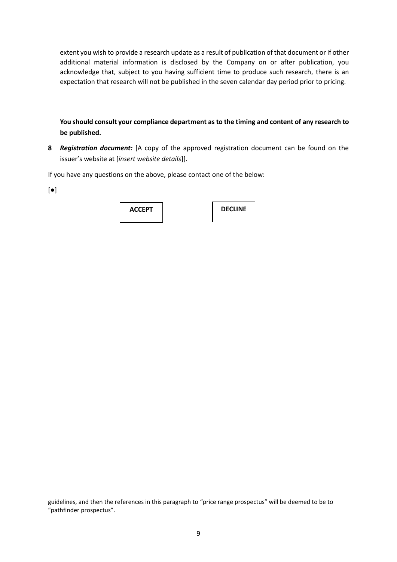extent you wish to provide a research update as a result of publication of that document or if other additional material information is disclosed by the Company on or after publication, you acknowledge that, subject to you having sufficient time to produce such research, there is an expectation that research will not be published in the seven calendar day period prior to pricing.

**You should consult your compliance department as to the timing and content of any research to be published.**

**8** *Registration document:* [A copy of the approved registration document can be found on the issuer's website at [*insert website details*]].

If you have any questions on the above, please contact one of the below:

| ш<br>×<br>۰.<br>۰,<br>$\sim$ |  |
|------------------------------|--|
|------------------------------|--|

| <b>ACCEPT</b> | <b>DECLINE</b> |
|---------------|----------------|
|               |                |

guidelines, and then the references in this paragraph to "price range prospectus" will be deemed to be to "pathfinder prospectus".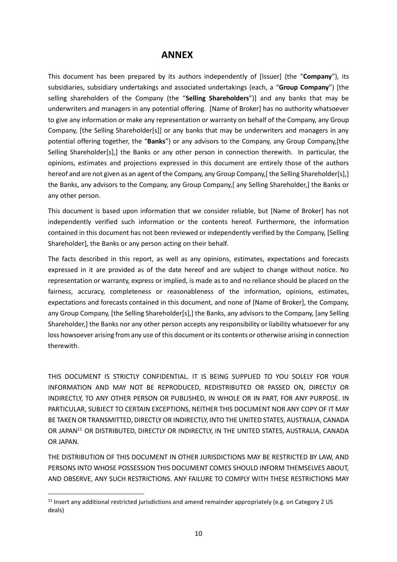### **ANNEX**

This document has been prepared by its authors independently of [Issuer] (the "**Company**"), its subsidiaries, subsidiary undertakings and associated undertakings (each, a "**Group Company**") [the selling shareholders of the Company (the "**Selling Shareholders**")] and any banks that may be underwriters and managers in any potential offering. [Name of Broker] has no authority whatsoever to give any information or make any representation or warranty on behalf of the Company, any Group Company, [the Selling Shareholder[s]] or any banks that may be underwriters and managers in any potential offering together, the "**Banks**") or any advisors to the Company, any Group Company,[the Selling Shareholder[s],] the Banks or any other person in connection therewith. In particular, the opinions, estimates and projections expressed in this document are entirely those of the authors hereof and are not given as an agent of the Company, any Group Company, [the Selling Shareholder[s], ] the Banks, any advisors to the Company, any Group Company,[ any Selling Shareholder,] the Banks or any other person.

This document is based upon information that we consider reliable, but [Name of Broker] has not independently verified such information or the contents hereof. Furthermore, the information contained in this document has not been reviewed or independently verified by the Company, [Selling Shareholder], the Banks or any person acting on their behalf.

The facts described in this report, as well as any opinions, estimates, expectations and forecasts expressed in it are provided as of the date hereof and are subject to change without notice. No representation or warranty, express or implied, is made as to and no reliance should be placed on the fairness, accuracy, completeness or reasonableness of the information, opinions, estimates, expectations and forecasts contained in this document, and none of [Name of Broker], the Company, any Group Company, [the Selling Shareholder[s],] the Banks, any advisors to the Company, [any Selling Shareholder,] the Banks nor any other person accepts any responsibility or liability whatsoever for any loss howsoever arising from any use of this document or its contents or otherwise arising in connection therewith.

THIS DOCUMENT IS STRICTLY CONFIDENTIAL. IT IS BEING SUPPLIED TO YOU SOLELY FOR YOUR INFORMATION AND MAY NOT BE REPRODUCED, REDISTRIBUTED OR PASSED ON, DIRECTLY OR INDIRECTLY, TO ANY OTHER PERSON OR PUBLISHED, IN WHOLE OR IN PART, FOR ANY PURPOSE. IN PARTICULAR, SUBJECT TO CERTAIN EXCEPTIONS, NEITHER THIS DOCUMENT NOR ANY COPY OF IT MAY BE TAKEN OR TRANSMITTED, DIRECTLY OR INDIRECTLY, INTO THE UNITED STATES, AUSTRALIA, CANADA OR JAPAN<sup>11</sup> OR DISTRIBUTED, DIRECTLY OR INDIRECTLY, IN THE UNITED STATES, AUSTRALIA, CANADA OR JAPAN.

THE DISTRIBUTION OF THIS DOCUMENT IN OTHER JURISDICTIONS MAY BE RESTRICTED BY LAW, AND PERSONS INTO WHOSE POSSESSION THIS DOCUMENT COMES SHOULD INFORM THEMSELVES ABOUT, AND OBSERVE, ANY SUCH RESTRICTIONS. ANY FAILURE TO COMPLY WITH THESE RESTRICTIONS MAY

<sup>&</sup>lt;sup>11</sup> Insert any additional restricted jurisdictions and amend remainder appropriately (e.g. on Category 2 US deals)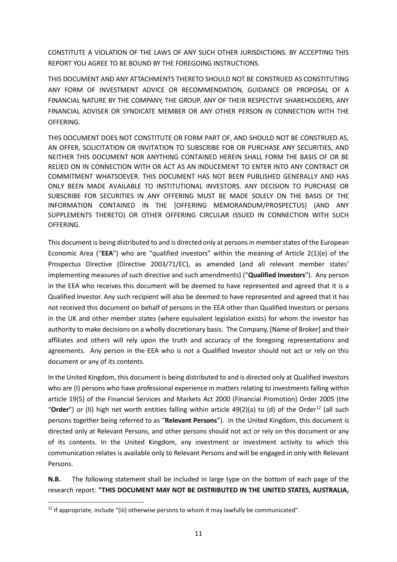CONSTITUTE A VIOLATION OF THE LAWS OF ANY SUCH OTHER JURISDICTIONS. BY ACCEPTING THIS REPORT YOU AGREE TO BE BOUND BY THE FOREGOING INSTRUCTIONS.

THIS DOCUMENT AND ANY ATTACHMENTS THERETO SHOULD NOT BE CONSTRUED AS CONSTITUTING ANY FORM OF INVESTMENT ADVICE OR RECOMMENDATION, GUIDANCE OR PROPOSAL OF A FINANCIAL NATURE BY THE COMPANY, THE GROUP, ANY OF THEIR RESPECTIVE SHAREHOLDERS, ANY FINANCIAL ADVISER OR SYNDICATE MEMBER OR ANY OTHER PERSON IN CONNECTION WITH THE OFFERING.

THIS DOCUMENT DOES NOT CONSTITUTE OR FORM PART OF, AND SHOULD NOT BE CONSTRUED AS, AN OFFER, SOLICITATION OR INVITATION TO SUBSCRIBE FOR OR PURCHASE ANY SECURITIES, AND NEITHER THIS DOCUMENT NOR ANYTHING CONTAINED HEREIN SHALL FORM THE BASIS OF OR BE RELIED ON IN CONNECTION WITH OR ACT AS AN INDUCEMENT TO ENTER INTO ANY CONTRACT OR COMMITMENT WHATSOEVER. THIS DOCUMENT HAS NOT BEEN PUBLISHED GENERALLY AND HAS ONLY BEEN MADE AVAILABLE TO INSTITUTIONAL INVESTORS. ANY DECISION TO PURCHASE OR SUBSCRIBE FOR SECURITIES IN ANY OFFERING MUST BE MADE SOLELY ON THE BASIS OF THE INFORMATION CONTAINED IN THE [OFFERING MEMORANDUM/PROSPECTUS] (AND ANY SUPPLEMENTS THERETO) OR OTHER OFFERING CIRCULAR ISSUED IN CONNECTION WITH SUCH OFFERING.

This document is being distributed to and is directed only at persons in member states of the European Economic Area ("**EEA**") who are "qualified investors" within the meaning of Article 2(1)(e) of the Prospectus Directive (Directive 2003/71/EC), as amended (and all relevant member states' implementing measures of such directive and such amendments) ("**Qualified Investors**"). Any person in the EEA who receives this document will be deemed to have represented and agreed that it is a Qualified Investor. Any such recipient will also be deemed to have represented and agreed that it has not received this document on behalf of persons in the EEA other than Qualified Investors or persons in the UK and other member states (where equivalent legislation exists) for whom the investor has authority to make decisions on a wholly discretionary basis. The Company, [Name of Broker] and their affiliates and others will rely upon the truth and accuracy of the foregoing representations and agreements. Any person in the EEA who is not a Qualified Investor should not act or rely on this document or any of its contents.

In the United Kingdom, this document is being distributed to and is directed only at Qualified Investors who are (I) persons who have professional experience in matters relating to investments falling within article 19(5) of the Financial Services and Markets Act 2000 (Financial Promotion) Order 2005 (the "**Order**") or (II) high net worth entities falling within article 49(2)(a) to (d) of the Order<sup>12</sup> (all such persons together being referred to as "**Relevant Persons**"). In the United Kingdom, this document is directed only at Relevant Persons, and other persons should not act or rely on this document or any of its contents. In the United Kingdom, any investment or investment activity to which this communication relates is available only to Relevant Persons and will be engaged in only with Relevant Persons.

**N.B.** The following statement shall be included in large type on the bottom of each page of the research report: **"THIS DOCUMENT MAY NOT BE DISTRIBUTED IN THE UNITED STATES, AUSTRALIA,** 

**.** 

<sup>&</sup>lt;sup>12</sup> If appropriate, include "(iii) otherwise persons to whom it may lawfully be communicated".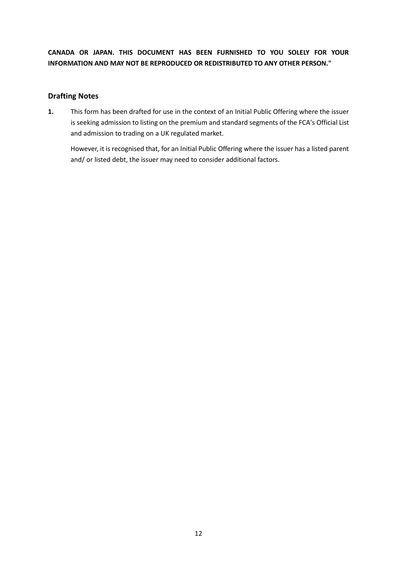**CANADA OR JAPAN. THIS DOCUMENT HAS BEEN FURNISHED TO YOU SOLELY FOR YOUR INFORMATION AND MAY NOT BE REPRODUCED OR REDISTRIBUTED TO ANY OTHER PERSON."**

#### **Drafting Notes**

**1.** This form has been drafted for use in the context of an Initial Public Offering where the issuer is seeking admission to listing on the premium and standard segments of the FCA's Official List and admission to trading on a UK regulated market.

However, it is recognised that, for an Initial Public Offering where the issuer has a listed parent and/ or listed debt, the issuer may need to consider additional factors.